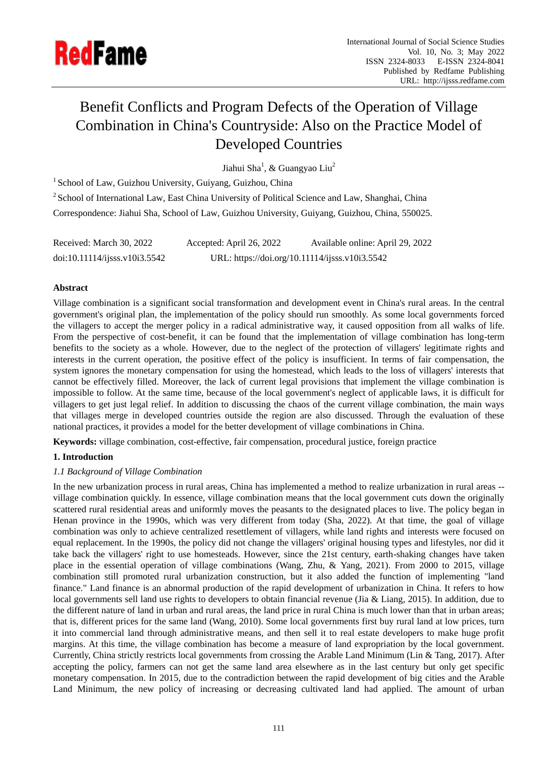

# Benefit Conflicts and Program Defects of the Operation of Village Combination in China's Countryside: Also on the Practice Model of Developed Countries

Jiahui Sha $^{\rm l}$ , & Guangyao Liu $^{\rm 2}$ 

<sup>1</sup> School of Law, Guizhou University, Guiyang, Guizhou, China

<sup>2</sup> School of International Law, East China University of Political Science and Law, Shanghai, China Correspondence: Jiahui Sha, School of Law, Guizhou University, Guiyang, Guizhou, China, 550025.

| Received: March 30, 2022      | Accepted: April 26, 2022                       | Available online: April 29, 2022 |
|-------------------------------|------------------------------------------------|----------------------------------|
| doi:10.11114/ijsss.v10i3.5542 | URL: https://doi.org/10.11114/ijsss.v10i3.5542 |                                  |

# **Abstract**

Village combination is a significant social transformation and development event in China's rural areas. In the central government's original plan, the implementation of the policy should run smoothly. As some local governments forced the villagers to accept the merger policy in a radical administrative way, it caused opposition from all walks of life. From the perspective of cost-benefit, it can be found that the implementation of village combination has long-term benefits to the society as a whole. However, due to the neglect of the protection of villagers' legitimate rights and interests in the current operation, the positive effect of the policy is insufficient. In terms of fair compensation, the system ignores the monetary compensation for using the homestead, which leads to the loss of villagers' interests that cannot be effectively filled. Moreover, the lack of current legal provisions that implement the village combination is impossible to follow. At the same time, because of the local government's neglect of applicable laws, it is difficult for villagers to get just legal relief. In addition to discussing the chaos of the current village combination, the main ways that villages merge in developed countries outside the region are also discussed. Through the evaluation of these national practices, it provides a model for the better development of village combinations in China.

**Keywords:** village combination, cost-effective, fair compensation, procedural justice, foreign practice

# **1. Introduction**

# *1.1 Background of Village Combination*

In the new urbanization process in rural areas, China has implemented a method to realize urbanization in rural areas - village combination quickly. In essence, village combination means that the local government cuts down the originally scattered rural residential areas and uniformly moves the peasants to the designated places to live. The policy began in Henan province in the 1990s, which was very different from today (Sha, 2022). At that time, the goal of village combination was only to achieve centralized resettlement of villagers, while land rights and interests were focused on equal replacement. In the 1990s, the policy did not change the villagers' original housing types and lifestyles, nor did it take back the villagers' right to use homesteads. However, since the 21st century, earth-shaking changes have taken place in the essential operation of village combinations (Wang, Zhu, & Yang, 2021). From 2000 to 2015, village combination still promoted rural urbanization construction, but it also added the function of implementing "land finance." Land finance is an abnormal production of the rapid development of urbanization in China. It refers to how local governments sell land use rights to developers to obtain financial revenue (Jia & Liang, 2015). In addition, due to the different nature of land in urban and rural areas, the land price in rural China is much lower than that in urban areas; that is, different prices for the same land (Wang, 2010). Some local governments first buy rural land at low prices, turn it into commercial land through administrative means, and then sell it to real estate developers to make huge profit margins. At this time, the village combination has become a measure of land expropriation by the local government. Currently, China strictly restricts local governments from crossing the Arable Land Minimum (Lin & Tang, 2017). After accepting the policy, farmers can not get the same land area elsewhere as in the last century but only get specific monetary compensation. In 2015, due to the contradiction between the rapid development of big cities and the Arable Land Minimum, the new policy of increasing or decreasing cultivated land had applied. The amount of urban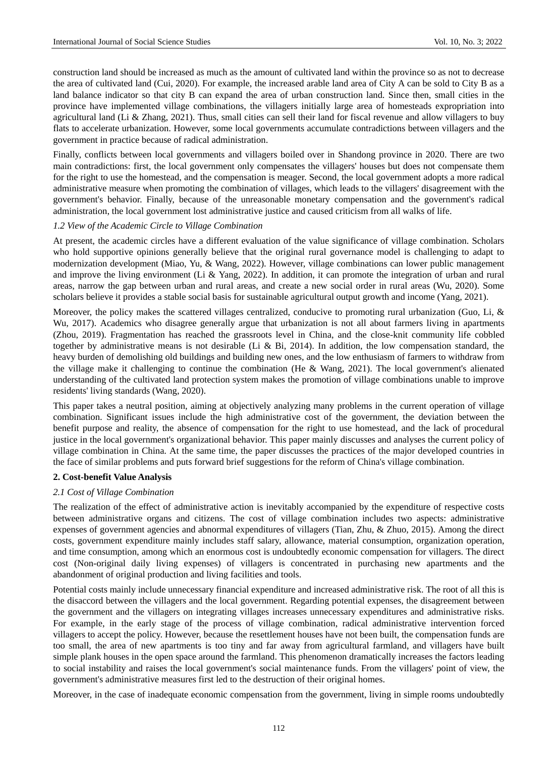construction land should be increased as much as the amount of cultivated land within the province so as not to decrease the area of cultivated land (Cui, 2020). For example, the increased arable land area of City A can be sold to City B as a land balance indicator so that city B can expand the area of urban construction land. Since then, small cities in the province have implemented village combinations, the villagers initially large area of homesteads expropriation into agricultural land (Li & Zhang, 2021). Thus, small cities can sell their land for fiscal revenue and allow villagers to buy flats to accelerate urbanization. However, some local governments accumulate contradictions between villagers and the government in practice because of radical administration.

Finally, conflicts between local governments and villagers boiled over in Shandong province in 2020. There are two main contradictions: first, the local government only compensates the villagers' houses but does not compensate them for the right to use the homestead, and the compensation is meager. Second, the local government adopts a more radical administrative measure when promoting the combination of villages, which leads to the villagers' disagreement with the government's behavior. Finally, because of the unreasonable monetary compensation and the government's radical administration, the local government lost administrative justice and caused criticism from all walks of life.

#### *1.2 View of the Academic Circle to Village Combination*

At present, the academic circles have a different evaluation of the value significance of village combination. Scholars who hold supportive opinions generally believe that the original rural governance model is challenging to adapt to modernization development (Miao, Yu, & Wang, 2022). However, village combinations can lower public management and improve the living environment (Li & Yang, 2022). In addition, it can promote the integration of urban and rural areas, narrow the gap between urban and rural areas, and create a new social order in rural areas (Wu, 2020). Some scholars believe it provides a stable social basis for sustainable agricultural output growth and income (Yang, 2021).

Moreover, the policy makes the scattered villages centralized, conducive to promoting rural urbanization (Guo, Li, & Wu, 2017). Academics who disagree generally argue that urbanization is not all about farmers living in apartments (Zhou, 2019). Fragmentation has reached the grassroots level in China, and the close-knit community life cobbled together by administrative means is not desirable (Li & Bi, 2014). In addition, the low compensation standard, the heavy burden of demolishing old buildings and building new ones, and the low enthusiasm of farmers to withdraw from the village make it challenging to continue the combination (He & Wang, 2021). The local government's alienated understanding of the cultivated land protection system makes the promotion of village combinations unable to improve residents' living standards (Wang, 2020).

This paper takes a neutral position, aiming at objectively analyzing many problems in the current operation of village combination. Significant issues include the high administrative cost of the government, the deviation between the benefit purpose and reality, the absence of compensation for the right to use homestead, and the lack of procedural justice in the local government's organizational behavior. This paper mainly discusses and analyses the current policy of village combination in China. At the same time, the paper discusses the practices of the major developed countries in the face of similar problems and puts forward brief suggestions for the reform of China's village combination.

#### **2. Cost-benefit Value Analysis**

#### *2.1 Cost of Village Combination*

The realization of the effect of administrative action is inevitably accompanied by the expenditure of respective costs between administrative organs and citizens. The cost of village combination includes two aspects: administrative expenses of government agencies and abnormal expenditures of villagers (Tian, Zhu, & Zhuo, 2015). Among the direct costs, government expenditure mainly includes staff salary, allowance, material consumption, organization operation, and time consumption, among which an enormous cost is undoubtedly economic compensation for villagers. The direct cost (Non-original daily living expenses) of villagers is concentrated in purchasing new apartments and the abandonment of original production and living facilities and tools.

Potential costs mainly include unnecessary financial expenditure and increased administrative risk. The root of all this is the disaccord between the villagers and the local government. Regarding potential expenses, the disagreement between the government and the villagers on integrating villages increases unnecessary expenditures and administrative risks. For example, in the early stage of the process of village combination, radical administrative intervention forced villagers to accept the policy. However, because the resettlement houses have not been built, the compensation funds are too small, the area of new apartments is too tiny and far away from agricultural farmland, and villagers have built simple plank houses in the open space around the farmland. This phenomenon dramatically increases the factors leading to social instability and raises the local government's social maintenance funds. From the villagers' point of view, the government's administrative measures first led to the destruction of their original homes.

Moreover, in the case of inadequate economic compensation from the government, living in simple rooms undoubtedly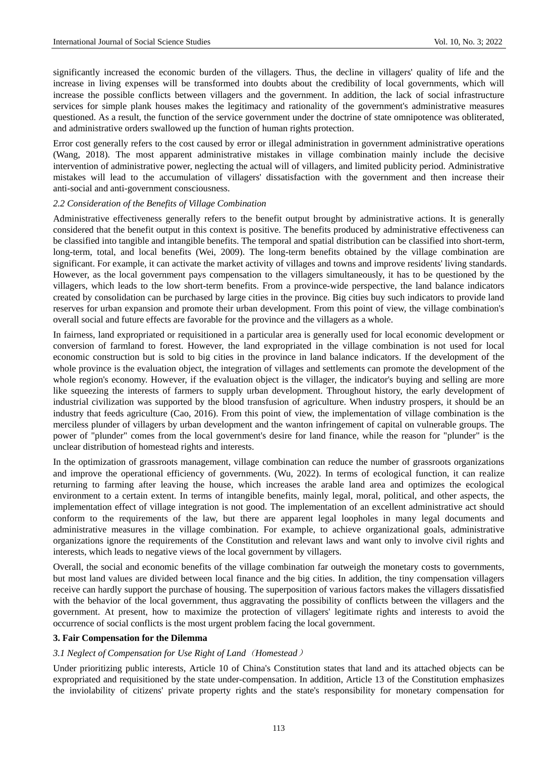significantly increased the economic burden of the villagers. Thus, the decline in villagers' quality of life and the increase in living expenses will be transformed into doubts about the credibility of local governments, which will increase the possible conflicts between villagers and the government. In addition, the lack of social infrastructure services for simple plank houses makes the legitimacy and rationality of the government's administrative measures questioned. As a result, the function of the service government under the doctrine of state omnipotence was obliterated, and administrative orders swallowed up the function of human rights protection.

Error cost generally refers to the cost caused by error or illegal administration in government administrative operations (Wang, 2018). The most apparent administrative mistakes in village combination mainly include the decisive intervention of administrative power, neglecting the actual will of villagers, and limited publicity period. Administrative mistakes will lead to the accumulation of villagers' dissatisfaction with the government and then increase their anti-social and anti-government consciousness.

#### *2.2 Consideration of the Benefits of Village Combination*

Administrative effectiveness generally refers to the benefit output brought by administrative actions. It is generally considered that the benefit output in this context is positive. The benefits produced by administrative effectiveness can be classified into tangible and intangible benefits. The temporal and spatial distribution can be classified into short-term, long-term, total, and local benefits (Wei, 2009). The long-term benefits obtained by the village combination are significant. For example, it can activate the market activity of villages and towns and improve residents' living standards. However, as the local government pays compensation to the villagers simultaneously, it has to be questioned by the villagers, which leads to the low short-term benefits. From a province-wide perspective, the land balance indicators created by consolidation can be purchased by large cities in the province. Big cities buy such indicators to provide land reserves for urban expansion and promote their urban development. From this point of view, the village combination's overall social and future effects are favorable for the province and the villagers as a whole.

In fairness, land expropriated or requisitioned in a particular area is generally used for local economic development or conversion of farmland to forest. However, the land expropriated in the village combination is not used for local economic construction but is sold to big cities in the province in land balance indicators. If the development of the whole province is the evaluation object, the integration of villages and settlements can promote the development of the whole region's economy. However, if the evaluation object is the villager, the indicator's buying and selling are more like squeezing the interests of farmers to supply urban development. Throughout history, the early development of industrial civilization was supported by the blood transfusion of agriculture. When industry prospers, it should be an industry that feeds agriculture (Cao, 2016). From this point of view, the implementation of village combination is the merciless plunder of villagers by urban development and the wanton infringement of capital on vulnerable groups. The power of "plunder" comes from the local government's desire for land finance, while the reason for "plunder" is the unclear distribution of homestead rights and interests.

In the optimization of grassroots management, village combination can reduce the number of grassroots organizations and improve the operational efficiency of governments. (Wu, 2022). In terms of ecological function, it can realize returning to farming after leaving the house, which increases the arable land area and optimizes the ecological environment to a certain extent. In terms of intangible benefits, mainly legal, moral, political, and other aspects, the implementation effect of village integration is not good. The implementation of an excellent administrative act should conform to the requirements of the law, but there are apparent legal loopholes in many legal documents and administrative measures in the village combination. For example, to achieve organizational goals, administrative organizations ignore the requirements of the Constitution and relevant laws and want only to involve civil rights and interests, which leads to negative views of the local government by villagers.

Overall, the social and economic benefits of the village combination far outweigh the monetary costs to governments, but most land values are divided between local finance and the big cities. In addition, the tiny compensation villagers receive can hardly support the purchase of housing. The superposition of various factors makes the villagers dissatisfied with the behavior of the local government, thus aggravating the possibility of conflicts between the villagers and the government. At present, how to maximize the protection of villagers' legitimate rights and interests to avoid the occurrence of social conflicts is the most urgent problem facing the local government.

# **3. Fair Compensation for the Dilemma**

# *3.1 Neglect of Compensation for Use Right of Land*(*Homestead*)

Under prioritizing public interests, Article 10 of China's Constitution states that land and its attached objects can be expropriated and requisitioned by the state under-compensation. In addition, Article 13 of the Constitution emphasizes the inviolability of citizens' private property rights and the state's responsibility for monetary compensation for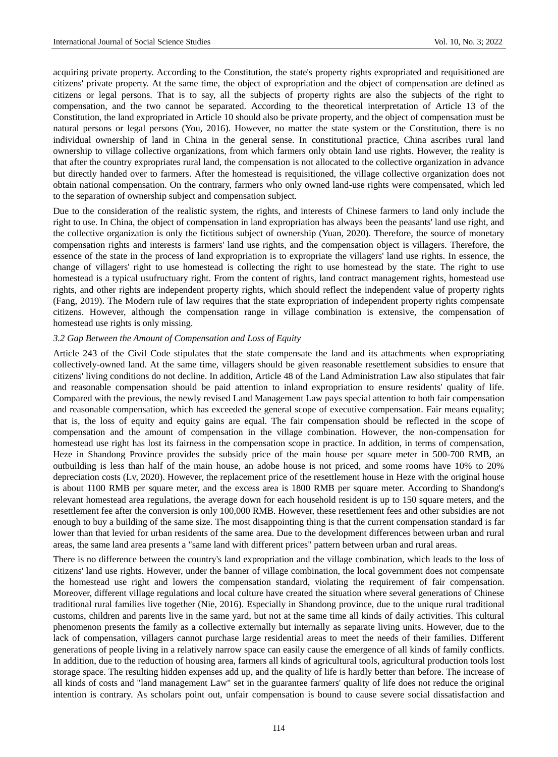acquiring private property. According to the Constitution, the state's property rights expropriated and requisitioned are citizens' private property. At the same time, the object of expropriation and the object of compensation are defined as citizens or legal persons. That is to say, all the subjects of property rights are also the subjects of the right to compensation, and the two cannot be separated. According to the theoretical interpretation of Article 13 of the Constitution, the land expropriated in Article 10 should also be private property, and the object of compensation must be natural persons or legal persons (You, 2016). However, no matter the state system or the Constitution, there is no individual ownership of land in China in the general sense. In constitutional practice, China ascribes rural land ownership to village collective organizations, from which farmers only obtain land use rights. However, the reality is that after the country expropriates rural land, the compensation is not allocated to the collective organization in advance but directly handed over to farmers. After the homestead is requisitioned, the village collective organization does not obtain national compensation. On the contrary, farmers who only owned land-use rights were compensated, which led to the separation of ownership subject and compensation subject.

Due to the consideration of the realistic system, the rights, and interests of Chinese farmers to land only include the right to use. In China, the object of compensation in land expropriation has always been the peasants' land use right, and the collective organization is only the fictitious subject of ownership (Yuan, 2020). Therefore, the source of monetary compensation rights and interests is farmers' land use rights, and the compensation object is villagers. Therefore, the essence of the state in the process of land expropriation is to expropriate the villagers' land use rights. In essence, the change of villagers' right to use homestead is collecting the right to use homestead by the state. The right to use homestead is a typical usufructuary right. From the content of rights, land contract management rights, homestead use rights, and other rights are independent property rights, which should reflect the independent value of property rights (Fang, 2019). The Modern rule of law requires that the state expropriation of independent property rights compensate citizens. However, although the compensation range in village combination is extensive, the compensation of homestead use rights is only missing.

### *3.2 Gap Between the Amount of Compensation and Loss of Equity*

Article 243 of the Civil Code stipulates that the state compensate the land and its attachments when expropriating collectively-owned land. At the same time, villagers should be given reasonable resettlement subsidies to ensure that citizens' living conditions do not decline. In addition, Article 48 of the Land Administration Law also stipulates that fair and reasonable compensation should be paid attention to inland expropriation to ensure residents' quality of life. Compared with the previous, the newly revised Land Management Law pays special attention to both fair compensation and reasonable compensation, which has exceeded the general scope of executive compensation. Fair means equality; that is, the loss of equity and equity gains are equal. The fair compensation should be reflected in the scope of compensation and the amount of compensation in the village combination. However, the non-compensation for homestead use right has lost its fairness in the compensation scope in practice. In addition, in terms of compensation, Heze in Shandong Province provides the subsidy price of the main house per square meter in 500-700 RMB, an outbuilding is less than half of the main house, an adobe house is not priced, and some rooms have 10% to 20% depreciation costs (Lv, 2020). However, the replacement price of the resettlement house in Heze with the original house is about 1100 RMB per square meter, and the excess area is 1800 RMB per square meter. According to Shandong's relevant homestead area regulations, the average down for each household resident is up to 150 square meters, and the resettlement fee after the conversion is only 100,000 RMB. However, these resettlement fees and other subsidies are not enough to buy a building of the same size. The most disappointing thing is that the current compensation standard is far lower than that levied for urban residents of the same area. Due to the development differences between urban and rural areas, the same land area presents a "same land with different prices" pattern between urban and rural areas.

There is no difference between the country's land expropriation and the village combination, which leads to the loss of citizens' land use rights. However, under the banner of village combination, the local government does not compensate the homestead use right and lowers the compensation standard, violating the requirement of fair compensation. Moreover, different village regulations and local culture have created the situation where several generations of Chinese traditional rural families live together (Nie, 2016). Especially in Shandong province, due to the unique rural traditional customs, children and parents live in the same yard, but not at the same time all kinds of daily activities. This cultural phenomenon presents the family as a collective externally but internally as separate living units. However, due to the lack of compensation, villagers cannot purchase large residential areas to meet the needs of their families. Different generations of people living in a relatively narrow space can easily cause the emergence of all kinds of family conflicts. In addition, due to the reduction of housing area, farmers all kinds of agricultural tools, agricultural production tools lost storage space. The resulting hidden expenses add up, and the quality of life is hardly better than before. The increase of all kinds of costs and "land management Law" set in the guarantee farmers' quality of life does not reduce the original intention is contrary. As scholars point out, unfair compensation is bound to cause severe social dissatisfaction and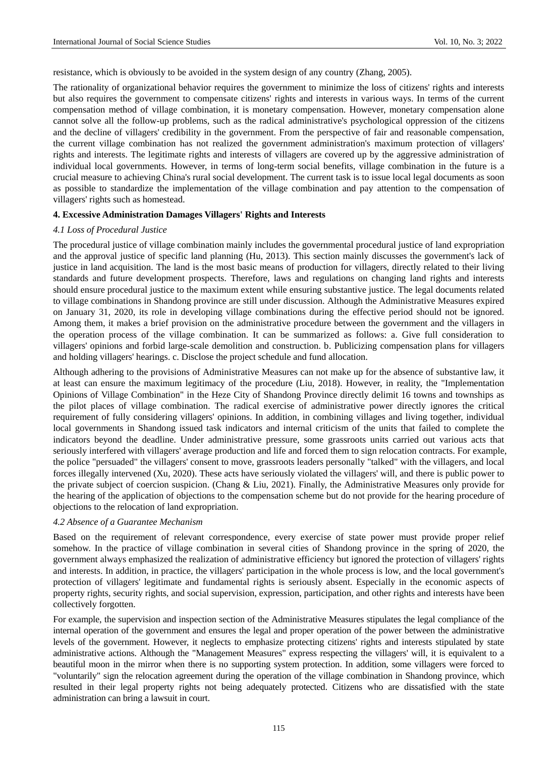resistance, which is obviously to be avoided in the system design of any country (Zhang, 2005).

The rationality of organizational behavior requires the government to minimize the loss of citizens' rights and interests but also requires the government to compensate citizens' rights and interests in various ways. In terms of the current compensation method of village combination, it is monetary compensation. However, monetary compensation alone cannot solve all the follow-up problems, such as the radical administrative's psychological oppression of the citizens and the decline of villagers' credibility in the government. From the perspective of fair and reasonable compensation, the current village combination has not realized the government administration's maximum protection of villagers' rights and interests. The legitimate rights and interests of villagers are covered up by the aggressive administration of individual local governments. However, in terms of long-term social benefits, village combination in the future is a crucial measure to achieving China's rural social development. The current task is to issue local legal documents as soon as possible to standardize the implementation of the village combination and pay attention to the compensation of villagers' rights such as homestead.

# **4. Excessive Administration Damages Villagers' Rights and Interests**

### *4.1 Loss of Procedural Justice*

The procedural justice of village combination mainly includes the governmental procedural justice of land expropriation and the approval justice of specific land planning (Hu, 2013). This section mainly discusses the government's lack of justice in land acquisition. The land is the most basic means of production for villagers, directly related to their living standards and future development prospects. Therefore, laws and regulations on changing land rights and interests should ensure procedural justice to the maximum extent while ensuring substantive justice. The legal documents related to village combinations in Shandong province are still under discussion. Although the Administrative Measures expired on January 31, 2020, its role in developing village combinations during the effective period should not be ignored. Among them, it makes a brief provision on the administrative procedure between the government and the villagers in the operation process of the village combination. It can be summarized as follows: a. Give full consideration to villagers' opinions and forbid large-scale demolition and construction. b. Publicizing compensation plans for villagers and holding villagers' hearings. c. Disclose the project schedule and fund allocation.

Although adhering to the provisions of Administrative Measures can not make up for the absence of substantive law, it at least can ensure the maximum legitimacy of the procedure (Liu, 2018). However, in reality, the "Implementation Opinions of Village Combination" in the Heze City of Shandong Province directly delimit 16 towns and townships as the pilot places of village combination. The radical exercise of administrative power directly ignores the critical requirement of fully considering villagers' opinions. In addition, in combining villages and living together, individual local governments in Shandong issued task indicators and internal criticism of the units that failed to complete the indicators beyond the deadline. Under administrative pressure, some grassroots units carried out various acts that seriously interfered with villagers' average production and life and forced them to sign relocation contracts. For example, the police "persuaded" the villagers' consent to move, grassroots leaders personally "talked" with the villagers, and local forces illegally intervened (Xu, 2020). These acts have seriously violated the villagers' will, and there is public power to the private subject of coercion suspicion. (Chang & Liu, 2021). Finally, the Administrative Measures only provide for the hearing of the application of objections to the compensation scheme but do not provide for the hearing procedure of objections to the relocation of land expropriation.

# *4.2 Absence of a Guarantee Mechanism*

Based on the requirement of relevant correspondence, every exercise of state power must provide proper relief somehow. In the practice of village combination in several cities of Shandong province in the spring of 2020, the government always emphasized the realization of administrative efficiency but ignored the protection of villagers' rights and interests. In addition, in practice, the villagers' participation in the whole process is low, and the local government's protection of villagers' legitimate and fundamental rights is seriously absent. Especially in the economic aspects of property rights, security rights, and social supervision, expression, participation, and other rights and interests have been collectively forgotten.

For example, the supervision and inspection section of the Administrative Measures stipulates the legal compliance of the internal operation of the government and ensures the legal and proper operation of the power between the administrative levels of the government. However, it neglects to emphasize protecting citizens' rights and interests stipulated by state administrative actions. Although the "Management Measures" express respecting the villagers' will, it is equivalent to a beautiful moon in the mirror when there is no supporting system protection. In addition, some villagers were forced to "voluntarily" sign the relocation agreement during the operation of the village combination in Shandong province, which resulted in their legal property rights not being adequately protected. Citizens who are dissatisfied with the state administration can bring a lawsuit in court.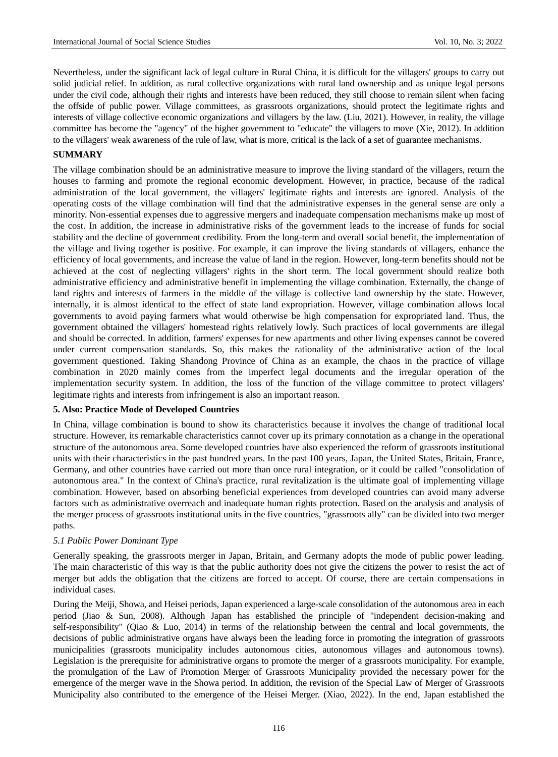Nevertheless, under the significant lack of legal culture in Rural China, it is difficult for the villagers' groups to carry out solid judicial relief. In addition, as rural collective organizations with rural land ownership and as unique legal persons under the civil code, although their rights and interests have been reduced, they still choose to remain silent when facing the offside of public power. Village committees, as grassroots organizations, should protect the legitimate rights and interests of village collective economic organizations and villagers by the law. (Liu, 2021). However, in reality, the village committee has become the "agency" of the higher government to "educate" the villagers to move (Xie, 2012). In addition to the villagers' weak awareness of the rule of law, what is more, critical is the lack of a set of guarantee mechanisms.

# **SUMMARY**

The village combination should be an administrative measure to improve the living standard of the villagers, return the houses to farming and promote the regional economic development. However, in practice, because of the radical administration of the local government, the villagers' legitimate rights and interests are ignored. Analysis of the operating costs of the village combination will find that the administrative expenses in the general sense are only a minority. Non-essential expenses due to aggressive mergers and inadequate compensation mechanisms make up most of the cost. In addition, the increase in administrative risks of the government leads to the increase of funds for social stability and the decline of government credibility. From the long-term and overall social benefit, the implementation of the village and living together is positive. For example, it can improve the living standards of villagers, enhance the efficiency of local governments, and increase the value of land in the region. However, long-term benefits should not be achieved at the cost of neglecting villagers' rights in the short term. The local government should realize both administrative efficiency and administrative benefit in implementing the village combination. Externally, the change of land rights and interests of farmers in the middle of the village is collective land ownership by the state. However, internally, it is almost identical to the effect of state land expropriation. However, village combination allows local governments to avoid paying farmers what would otherwise be high compensation for expropriated land. Thus, the government obtained the villagers' homestead rights relatively lowly. Such practices of local governments are illegal and should be corrected. In addition, farmers' expenses for new apartments and other living expenses cannot be covered under current compensation standards. So, this makes the rationality of the administrative action of the local government questioned. Taking Shandong Province of China as an example, the chaos in the practice of village combination in 2020 mainly comes from the imperfect legal documents and the irregular operation of the implementation security system. In addition, the loss of the function of the village committee to protect villagers' legitimate rights and interests from infringement is also an important reason.

#### **5. Also: Practice Mode of Developed Countries**

In China, village combination is bound to show its characteristics because it involves the change of traditional local structure. However, its remarkable characteristics cannot cover up its primary connotation as a change in the operational structure of the autonomous area. Some developed countries have also experienced the reform of grassroots institutional units with their characteristics in the past hundred years. In the past 100 years, Japan, the United States, Britain, France, Germany, and other countries have carried out more than once rural integration, or it could be called "consolidation of autonomous area." In the context of China's practice, rural revitalization is the ultimate goal of implementing village combination. However, based on absorbing beneficial experiences from developed countries can avoid many adverse factors such as administrative overreach and inadequate human rights protection. Based on the analysis and analysis of the merger process of grassroots institutional units in the five countries, "grassroots ally" can be divided into two merger paths.

#### *5.1 Public Power Dominant Type*

Generally speaking, the grassroots merger in Japan, Britain, and Germany adopts the mode of public power leading. The main characteristic of this way is that the public authority does not give the citizens the power to resist the act of merger but adds the obligation that the citizens are forced to accept. Of course, there are certain compensations in individual cases.

During the Meiji, Showa, and Heisei periods, Japan experienced a large-scale consolidation of the autonomous area in each period (Jiao & Sun, 2008). Although Japan has established the principle of "independent decision-making and self-responsibility" (Qiao & Luo, 2014) in terms of the relationship between the central and local governments, the decisions of public administrative organs have always been the leading force in promoting the integration of grassroots municipalities (grassroots municipality includes autonomous cities, autonomous villages and autonomous towns). Legislation is the prerequisite for administrative organs to promote the merger of a grassroots municipality. For example, the promulgation of the Law of Promotion Merger of Grassroots Municipality provided the necessary power for the emergence of the merger wave in the Showa period. In addition, the revision of the Special Law of Merger of Grassroots Municipality also contributed to the emergence of the Heisei Merger. (Xiao, 2022). In the end, Japan established the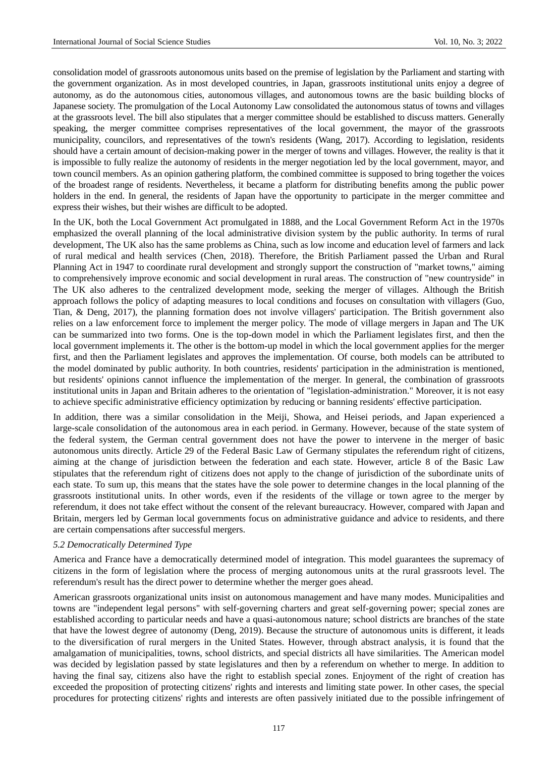consolidation model of grassroots autonomous units based on the premise of legislation by the Parliament and starting with the government organization. As in most developed countries, in Japan, grassroots institutional units enjoy a degree of autonomy, as do the autonomous cities, autonomous villages, and autonomous towns are the basic building blocks of Japanese society. The promulgation of the Local Autonomy Law consolidated the autonomous status of towns and villages at the grassroots level. The bill also stipulates that a merger committee should be established to discuss matters. Generally speaking, the merger committee comprises representatives of the local government, the mayor of the grassroots municipality, councilors, and representatives of the town's residents (Wang, 2017). According to legislation, residents should have a certain amount of decision-making power in the merger of towns and villages. However, the reality is that it is impossible to fully realize the autonomy of residents in the merger negotiation led by the local government, mayor, and town council members. As an opinion gathering platform, the combined committee is supposed to bring together the voices of the broadest range of residents. Nevertheless, it became a platform for distributing benefits among the public power holders in the end. In general, the residents of Japan have the opportunity to participate in the merger committee and express their wishes, but their wishes are difficult to be adopted.

In the UK, both the Local Government Act promulgated in 1888, and the Local Government Reform Act in the 1970s emphasized the overall planning of the local administrative division system by the public authority. In terms of rural development, The UK also has the same problems as China, such as low income and education level of farmers and lack of rural medical and health services (Chen, 2018). Therefore, the British Parliament passed the Urban and Rural Planning Act in 1947 to coordinate rural development and strongly support the construction of "market towns," aiming to comprehensively improve economic and social development in rural areas. The construction of "new countryside" in The UK also adheres to the centralized development mode, seeking the merger of villages. Although the British approach follows the policy of adapting measures to local conditions and focuses on consultation with villagers (Guo, Tian, & Deng, 2017), the planning formation does not involve villagers' participation. The British government also relies on a law enforcement force to implement the merger policy. The mode of village mergers in Japan and The UK can be summarized into two forms. One is the top-down model in which the Parliament legislates first, and then the local government implements it. The other is the bottom-up model in which the local government applies for the merger first, and then the Parliament legislates and approves the implementation. Of course, both models can be attributed to the model dominated by public authority. In both countries, residents' participation in the administration is mentioned, but residents' opinions cannot influence the implementation of the merger. In general, the combination of grassroots institutional units in Japan and Britain adheres to the orientation of "legislation-administration." Moreover, it is not easy to achieve specific administrative efficiency optimization by reducing or banning residents' effective participation.

In addition, there was a similar consolidation in the Meiji, Showa, and Heisei periods, and Japan experienced a large-scale consolidation of the autonomous area in each period. in Germany. However, because of the state system of the federal system, the German central government does not have the power to intervene in the merger of basic autonomous units directly. Article 29 of the Federal Basic Law of Germany stipulates the referendum right of citizens, aiming at the change of jurisdiction between the federation and each state. However, article 8 of the Basic Law stipulates that the referendum right of citizens does not apply to the change of jurisdiction of the subordinate units of each state. To sum up, this means that the states have the sole power to determine changes in the local planning of the grassroots institutional units. In other words, even if the residents of the village or town agree to the merger by referendum, it does not take effect without the consent of the relevant bureaucracy. However, compared with Japan and Britain, mergers led by German local governments focus on administrative guidance and advice to residents, and there are certain compensations after successful mergers.

# *5.2 Democratically Determined Type*

America and France have a democratically determined model of integration. This model guarantees the supremacy of citizens in the form of legislation where the process of merging autonomous units at the rural grassroots level. The referendum's result has the direct power to determine whether the merger goes ahead.

American grassroots organizational units insist on autonomous management and have many modes. Municipalities and towns are "independent legal persons" with self-governing charters and great self-governing power; special zones are established according to particular needs and have a quasi-autonomous nature; school districts are branches of the state that have the lowest degree of autonomy (Deng, 2019). Because the structure of autonomous units is different, it leads to the diversification of rural mergers in the United States. However, through abstract analysis, it is found that the amalgamation of municipalities, towns, school districts, and special districts all have similarities. The American model was decided by legislation passed by state legislatures and then by a referendum on whether to merge. In addition to having the final say, citizens also have the right to establish special zones. Enjoyment of the right of creation has exceeded the proposition of protecting citizens' rights and interests and limiting state power. In other cases, the special procedures for protecting citizens' rights and interests are often passively initiated due to the possible infringement of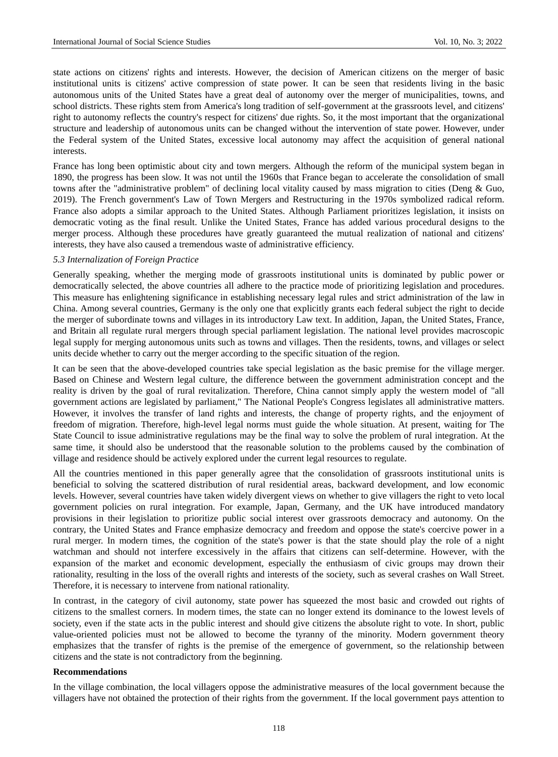state actions on citizens' rights and interests. However, the decision of American citizens on the merger of basic institutional units is citizens' active compression of state power. It can be seen that residents living in the basic autonomous units of the United States have a great deal of autonomy over the merger of municipalities, towns, and school districts. These rights stem from America's long tradition of self-government at the grassroots level, and citizens' right to autonomy reflects the country's respect for citizens' due rights. So, it the most important that the organizational structure and leadership of autonomous units can be changed without the intervention of state power. However, under the Federal system of the United States, excessive local autonomy may affect the acquisition of general national interests.

France has long been optimistic about city and town mergers. Although the reform of the municipal system began in 1890, the progress has been slow. It was not until the 1960s that France began to accelerate the consolidation of small towns after the "administrative problem" of declining local vitality caused by mass migration to cities (Deng & Guo, 2019). The French government's Law of Town Mergers and Restructuring in the 1970s symbolized radical reform. France also adopts a similar approach to the United States. Although Parliament prioritizes legislation, it insists on democratic voting as the final result. Unlike the United States, France has added various procedural designs to the merger process. Although these procedures have greatly guaranteed the mutual realization of national and citizens' interests, they have also caused a tremendous waste of administrative efficiency.

#### *5.3 Internalization of Foreign Practice*

Generally speaking, whether the merging mode of grassroots institutional units is dominated by public power or democratically selected, the above countries all adhere to the practice mode of prioritizing legislation and procedures. This measure has enlightening significance in establishing necessary legal rules and strict administration of the law in China. Among several countries, Germany is the only one that explicitly grants each federal subject the right to decide the merger of subordinate towns and villages in its introductory Law text. In addition, Japan, the United States, France, and Britain all regulate rural mergers through special parliament legislation. The national level provides macroscopic legal supply for merging autonomous units such as towns and villages. Then the residents, towns, and villages or select units decide whether to carry out the merger according to the specific situation of the region.

It can be seen that the above-developed countries take special legislation as the basic premise for the village merger. Based on Chinese and Western legal culture, the difference between the government administration concept and the reality is driven by the goal of rural revitalization. Therefore, China cannot simply apply the western model of "all government actions are legislated by parliament," The National People's Congress legislates all administrative matters. However, it involves the transfer of land rights and interests, the change of property rights, and the enjoyment of freedom of migration. Therefore, high-level legal norms must guide the whole situation. At present, waiting for The State Council to issue administrative regulations may be the final way to solve the problem of rural integration. At the same time, it should also be understood that the reasonable solution to the problems caused by the combination of village and residence should be actively explored under the current legal resources to regulate.

All the countries mentioned in this paper generally agree that the consolidation of grassroots institutional units is beneficial to solving the scattered distribution of rural residential areas, backward development, and low economic levels. However, several countries have taken widely divergent views on whether to give villagers the right to veto local government policies on rural integration. For example, Japan, Germany, and the UK have introduced mandatory provisions in their legislation to prioritize public social interest over grassroots democracy and autonomy. On the contrary, the United States and France emphasize democracy and freedom and oppose the state's coercive power in a rural merger. In modern times, the cognition of the state's power is that the state should play the role of a night watchman and should not interfere excessively in the affairs that citizens can self-determine. However, with the expansion of the market and economic development, especially the enthusiasm of civic groups may drown their rationality, resulting in the loss of the overall rights and interests of the society, such as several crashes on Wall Street. Therefore, it is necessary to intervene from national rationality.

In contrast, in the category of civil autonomy, state power has squeezed the most basic and crowded out rights of citizens to the smallest corners. In modern times, the state can no longer extend its dominance to the lowest levels of society, even if the state acts in the public interest and should give citizens the absolute right to vote. In short, public value-oriented policies must not be allowed to become the tyranny of the minority. Modern government theory emphasizes that the transfer of rights is the premise of the emergence of government, so the relationship between citizens and the state is not contradictory from the beginning.

## **Recommendations**

In the village combination, the local villagers oppose the administrative measures of the local government because the villagers have not obtained the protection of their rights from the government. If the local government pays attention to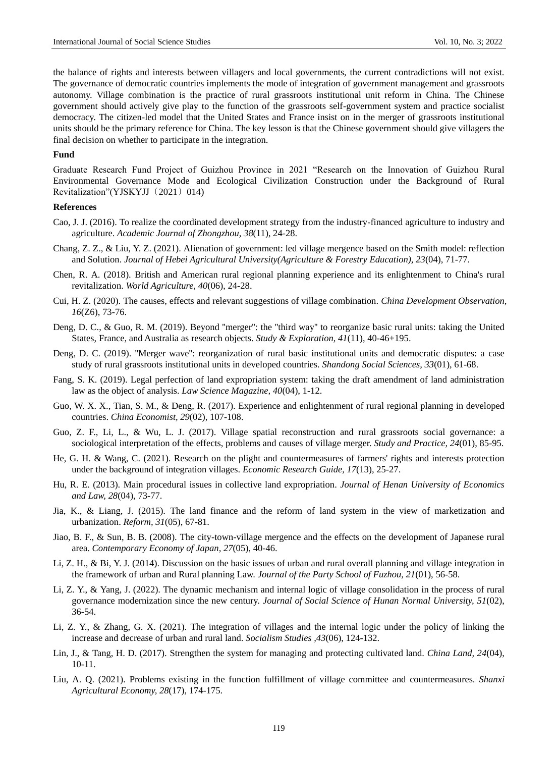the balance of rights and interests between villagers and local governments, the current contradictions will not exist. The governance of democratic countries implements the mode of integration of government management and grassroots autonomy. Village combination is the practice of rural grassroots institutional unit reform in China. The Chinese government should actively give play to the function of the grassroots self-government system and practice socialist democracy. The citizen-led model that the United States and France insist on in the merger of grassroots institutional units should be the primary reference for China. The key lesson is that the Chinese government should give villagers the final decision on whether to participate in the integration.

#### **Fund**

Graduate Research Fund Project of Guizhou Province in 2021 "Research on the Innovation of Guizhou Rural Environmental Governance Mode and Ecological Civilization Construction under the Background of Rural Revitalization"(YJSKYJJ〔2021〕014)

# **References**

- Cao, J. J. (2016). To realize the coordinated development strategy from the industry-financed agriculture to industry and agriculture. *Academic Journal of Zhongzhou, 38*(11), 24-28.
- Chang, Z. Z., & Liu, Y. Z. (2021). Alienation of government: led village mergence based on the Smith model: reflection and Solution. *Journal of Hebei Agricultural University(Agriculture & Forestry Education), 23*(04), 71-77.
- Chen, R. A. (2018). British and American rural regional planning experience and its enlightenment to China's rural revitalization. *World Agriculture, 40*(06), 24-28.
- Cui, H. Z. (2020). The causes, effects and relevant suggestions of village combination. *China Development Observation, 16*(Z6), 73-76.
- Deng, D. C., & Guo, R. M. (2019). Beyond ''merger'': the ''third way'' to reorganize basic rural units: taking the United States, France, and Australia as research objects. *Study & Exploration, 41*(11), 40-46+195.
- Deng, D. C. (2019). ''Merger wave'': reorganization of rural basic institutional units and democratic disputes: a case study of rural grassroots institutional units in developed countries. *Shandong Social Sciences, 33*(01), 61-68.
- Fang, S. K. (2019). Legal perfection of land expropriation system: taking the draft amendment of land administration law as the object of analysis. *Law Science Magazine, 40*(04), 1-12.
- Guo, W. X. X., Tian, S. M., & Deng, R. (2017). Experience and enlightenment of rural regional planning in developed countries. *China Economist, 29*(02), 107-108.
- Guo, Z. F., Li, L., & Wu, L. J. (2017). Village spatial reconstruction and rural grassroots social governance: a sociological interpretation of the effects, problems and causes of village merger. *Study and Practice, 24*(01), 85-95.
- He, G. H. & Wang, C. (2021). Research on the plight and countermeasures of farmers' rights and interests protection under the background of integration villages. *Economic Research Guide, 17*(13), 25-27.
- Hu, R. E. (2013). Main procedural issues in collective land expropriation. *Journal of Henan University of Economics and Law, 28*(04), 73-77.
- Jia, K., & Liang, J. (2015). The land finance and the reform of land system in the view of marketization and urbanization. *Reform, 31*(05), 67-81.
- Jiao, B. F., & Sun, B. B. (2008). The city-town-village mergence and the effects on the development of Japanese rural area. *Contemporary Economy of Japan, 27*(05), 40-46.
- Li, Z. H., & Bi, Y. J. (2014). Discussion on the basic issues of urban and rural overall planning and village integration in the framework of urban and Rural planning Law. *Journal of the Party School of Fuzhou, 21*(01), 56-58.
- Li, Z. Y., & Yang, J. (2022). The dynamic mechanism and internal logic of village consolidation in the process of rural governance modernization since the new century. *Journal of Social Science of Hunan Normal University, 51*(02), 36-54.
- Li, Z. Y., & Zhang, G. X. (2021). The integration of villages and the internal logic under the policy of linking the increase and decrease of urban and rural land. *Socialism Studies ,43*(06), 124-132.
- Lin, J., & Tang, H. D. (2017). Strengthen the system for managing and protecting cultivated land. *China Land, 24*(04), 10-11.
- Liu, A. Q. (2021). Problems existing in the function fulfillment of village committee and countermeasures. *Shanxi Agricultural Economy, 28*(17), 174-175.